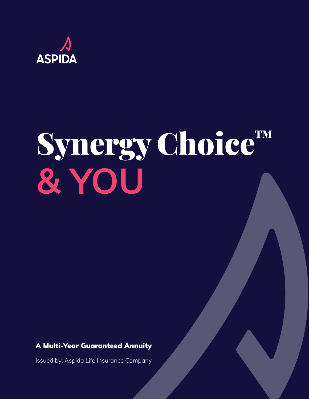

# Synergy Choice™ **& YOU**

### A Multi-Year Guaranteed Annuity

Issued by: Aspida Life Insurance Company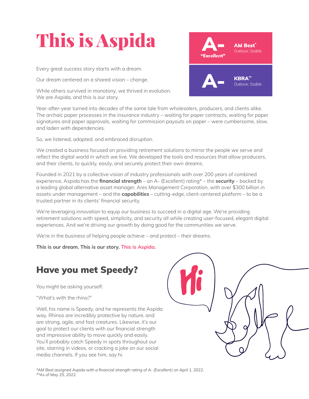# This is Aspida

Every great success story starts with a dream.

Our dream centered on a shared vision – change.

While others survived in monotony, we thrived in evolution. We are Aspida, and this is our story.

Year-after-year turned into decades of the same tale from wholesalers, producers, and clients alike. The archaic paper processes in the insurance industry – waiting for paper contracts, waiting for paper signatures and paper approvals, waiting for commission payouts on paper – were cumbersome, slow, and laden with dependencies.

So, we listened, adapted, and embraced disruption.

We created a business focused on providing retirement solutions to mirror the people we serve and reflect the digital world in which we live. We developed the tools and resources that allow producers, and their clients, to quickly, easily, and securely protect their own dreams.

Founded in 2021 by a collective vision of industry professionals with over 200 years of combined experience, Aspida has the **financial strength** – an A- (Excellent) rating\* – the **security** – backed by a leading global alternative asset manager, Ares Management Corporation, with over \$300 billion in assets under management – and the **capabilities** – cutting-edge, client-centered platform – to be a trusted partner in its clients' financial security.

We're leveraging innovation to equip our business to succeed in a digital age. We're providing retirement solutions with speed, simplicity, and security all while creating user-focused, elegant digital experiences. And we're driving our growth by doing good for the communities we serve.

We're in the business of helping people achieve – and protect – their dreams.

**This is our dream. This is our story. This is Aspida.**

# Have you met Speedy?

You might be asking yourself:

"What's with the rhino?"

Well, his name is Speedy, and he represents the Aspida way. Rhinos are incredibly protective by nature, and are strong, agile, and fast creatures. Likewise, it's our goal to protect our clients with our financial strength and impressive ability to move quickly and easily. You'll probably catch Speedy in spots throughout our site, starring in videos, or cracking a joke on our social media channels. If you see him, say hi.



*\*AM Best assigned Aspida with a financial strength rating of A- (Excellent) on April 1, 2022. \*\*As of May 25, 2022*

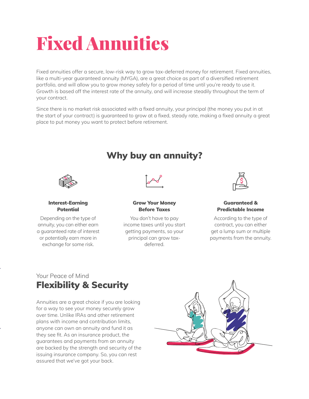# Fixed Annuities

Fixed annuities offer a secure, low-risk way to grow tax-deferred money for retirement. Fixed annuities, like a multi-year guaranteed annuity (MYGA), are a great choice as part of a diversified retirement portfolio, and will allow you to grow money safely for a period of time until you're ready to use it. Growth is based off the interest rate of the annuity, and will increase steadily throughout the term of your contract.

Since there is no market risk associated with a fixed annuity, your principal (the money you put in at the start of your contract) is guaranteed to grow at a fixed, steady rate, making a fixed annuity a great place to put money you want to protect before retirement.



#### Interest-Earning Potential

Depending on the type of annuity, you can either earn a guaranteed rate of interest or potentially earn more in exchange for some risk.

# Why buy an annuity?



#### Grow Your Money Before Taxes

You don't have to pay income taxes until you start getting payments, so your principal can grow taxdeferred.



#### Guaranteed & Predictable Income

According to the type of contract, you can either get a lump sum or multiple payments from the annuity.

# Your Peace of Mind Flexibility & Security

Annuities are a great choice if you are looking for a way to see your money securely grow over time. Unlike IRAs and other retirement plans with income and contribution limits, anyone can own an annuity and fund it as they see fit. As an insurance product, the guarantees and payments from an annuity are backed by the strength and security of the issuing insurance company. So, you can rest assured that we've got your back.

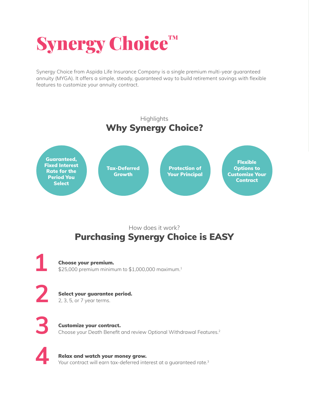# Synergy Choice™

Synergy Choice from Aspida Life Insurance Company is a single premium multi-year guaranteed annuity (MYGA). It offers a simple, steady, guaranteed way to build retirement savings with flexible features to customize your annuity contract.



# How does it work? Purchasing Synergy Choice is EASY

**1** Choose your premium.<br>\$25,000 premium minimum to \$1,000,000 maximum.<sup>1</sup>

**2** Select your guarantee period.

2, 3, 5, or 7 year terms.

**3** Customize your contract.<br>
Choose your Death Benefit and review Optional Withdrawal Features.<sup>2</sup>

**4** Relax and watch your money grow. Your contract will earn tax-deferred interest at a guaranteed rate.<sup>3</sup>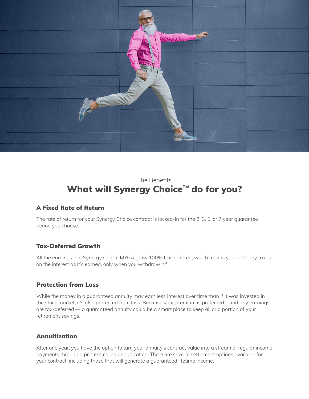

# The Benefits What will Synergy Choice™ do for you?

#### A Fixed Rate of Return

The rate of return for your Synergy Choice contract is locked-in for the 2, 3, 5, or 7 year guarantee period you choose.

#### Tax-Deferred Growth

All the earnings in a Synergy Choice MYGA grow 100% tax deferred, which means you don't pay taxes on the interest as it's earned, only when you withdraw it.4

#### Protection from Loss

While the money in a guaranteed annuity may earn less interest over time than if it was invested in the stock market, it's also protected from loss. Because your premium is protected—and any earnings are tax-deferred — a guaranteed annuity could be a smart place to keep all or a portion of your retirement savings.

#### Annuitization

After one year, you have the option to turn your annuity's contract value into a stream of regular income payments through a process called annuitization. There are several settlement options available for your contract, including those that will generate a guaranteed lifetime income.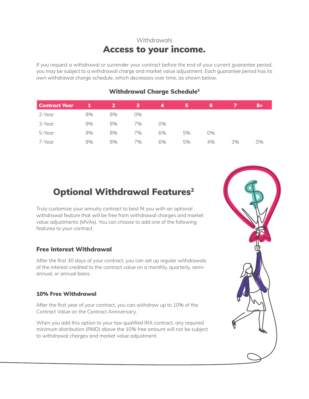# Withdrawals Access to your income.

If you request a withdrawal or surrender your contract before the end of your current guarantee period, you may be subject to a withdrawal charge and market value adjustment. Each guarantee period has its own withdrawal charge schedule, which decreases over time, as shown below.

| <b>Contract Year</b> |    |    | з  | 4  | ь  | 6  |    | 18+, |
|----------------------|----|----|----|----|----|----|----|------|
| 2-Year               | 9% | 8% | 0% |    |    |    |    |      |
| 3-Year               | 9% | 8% | 7% | 0% |    |    |    |      |
| 5-Year               | 9% | 8% | 7% | 6% | 5% | 0% |    |      |
| 7-Year               | 9% | 8% | 7% | 6% | 5% | 4% | 3% | 0%   |

#### Withdrawal Charge Schedule<sup>5</sup>

# **Optional Withdrawal Features<sup>2</sup>**

Truly customize your annuity contract to best fit you with an optional withdrawal feature that will be free from withdrawal charges and market value adjustments (MVAs). You can choose to add one of the following features to your contract.

#### Free Interest Withdrawal

After the first 30 days of your contract, you can set up regular withdrawals of the interest credited to the contract value on a monthly, quarterly, semiannual, or annual basis.

#### 10% Free Withdrawal

After the first year of your contract, you can withdraw up to 10% of the Contract Value on the Contract Anniversary.

When you add this option to your tax-qualified IRA contract, any required minimum distribution (RMD) above the 10% free amount will not be subject to withdrawal charges and market value adjustment.

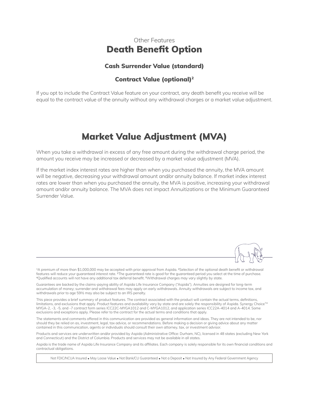### Other Features Death Benefit Option

#### Cash Surrender Value (standard)

#### Contract Value (optional)2

If you opt to include the Contract Value feature on your contract, any death benefit you receive will be equal to the contract value of the annuity without any withdrawal charges or a market value adjustment.

# Market Value Adjustment (MVA)

When you take a withdrawal in excess of any free amount during the withdrawal charge period, the amount you receive may be increased or decreased by a market value adjustment (MVA).

If the market index interest rates are higher than when you purchased the annuity, the MVA amount will be negative, decreasing your withdrawal amount and/or annuity balance. If market index interest rates are lower than when you purchased the annuity, the MVA is positive, increasing your withdrawal amount and/or annuity balance. The MVA does not impact Annuitizations or the Minimum Guaranteed Surrender Value.

1A premium of more than \$1,000,000 may be accepted with prior approval from Aspida. 2Selection of the optional death benefit or withdrawal features will reduce your guaranteed interest rate. 3The guaranteed rate is good for the guaranteed period you select at the time of purchase. 4Qualified accounts will not have any additional tax deferral benefit. 5Withdrawal charges may vary slightly by state.

Guarantees are backed by the claims-paying ability of Aspida Life Insurance Company ("Aspida"). Annuities are designed for long-term accumulation of money; surrender and withdrawal fees may apply on early withdrawals. Annuity withdrawals are subject to income tax, and withdrawals prior to age 59½ may also be subject to an IRS penalty.

This piece provides a brief summary of product features. The contract associated with the product will contain the actual terms, definitions, limitations, and exclusions that apply. Product features and availability vary by state and are solely the responsibility of Aspida. Synergy Choice™ MYGA-2, -3, -5, and -7 contract form series ICC22C-MYGA1012 and C-MYGA1012, and application series ICC22A-4014 and A-4014. Some exclusions and exceptions apply. Please refer to the contract for the actual terms and conditions that apply.

The statements and comments offered in this communication are provided as general information and ideas. They are not intended to be, nor should they be relied on as, investment, legal, tax advice, or recommendations. Before making a decision or giving advice about any matter contained in this communication, agents or individuals should consult their own attorney, tax, or investment advisor.

Products and services are underwritten and/or provided by Aspida (Administrative Office: Durham, NC), licensed in 48 states (excluding New York and Connecticut) and the District of Columbia. Products and services may not be available in all states.

Aspida is the trade name of Aspida Life Insurance Company and its affiliates. Each company is solely responsible for its own financial conditions and contractual obligations.

Not FDIC/NCUA Insured • May Loose Value • Not Bank/CU Guaranteed • Not a Deposit • Not Insured by Any Federal Government Agency